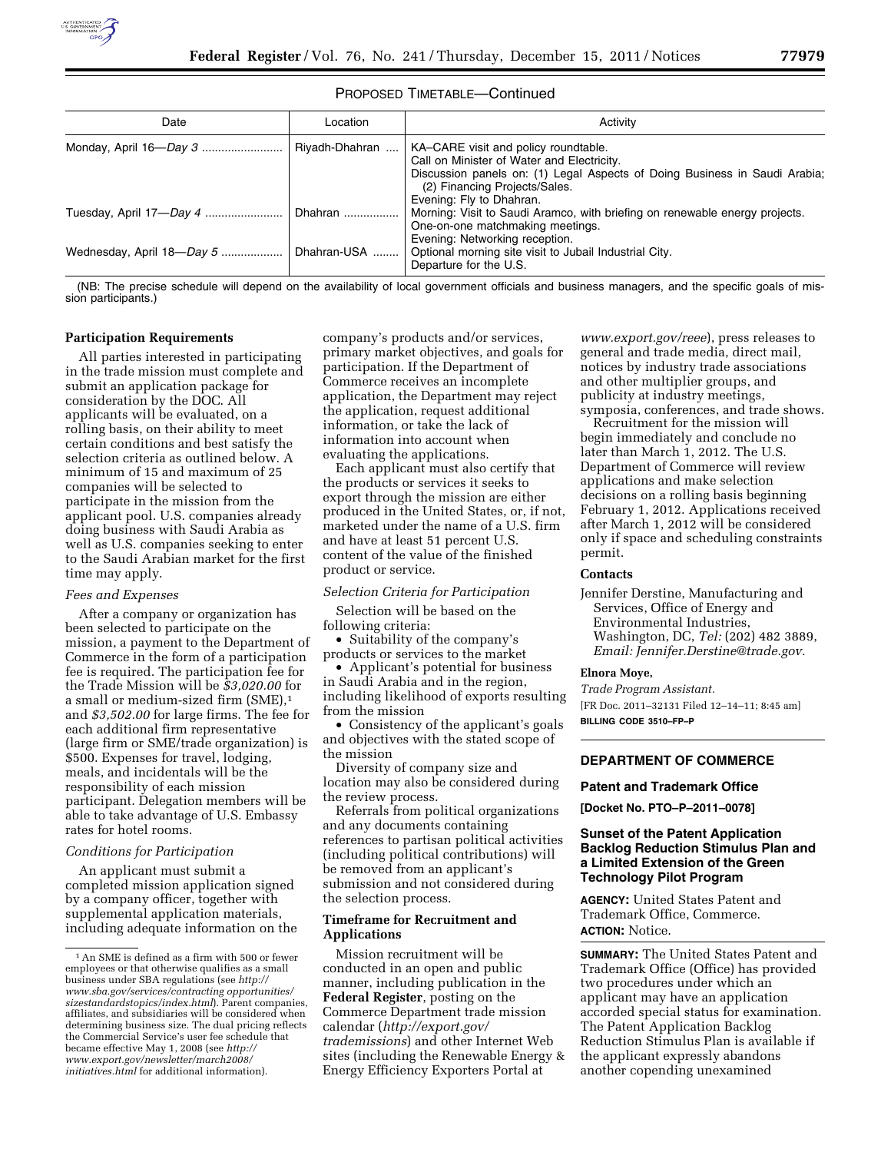

### PROPOSED TIMETABLE—Continued

| Date                                   | Location       | Activity                                                                                                                                                                                                                      |
|----------------------------------------|----------------|-------------------------------------------------------------------------------------------------------------------------------------------------------------------------------------------------------------------------------|
|                                        | Riyadh-Dhahran | KA-CARE visit and policy roundtable.<br>Call on Minister of Water and Electricity.<br>Discussion panels on: (1) Legal Aspects of Doing Business in Saudi Arabia;<br>(2) Financing Projects/Sales.<br>Evening: Fly to Dhahran. |
|                                        |                | Morning: Visit to Saudi Aramco, with briefing on renewable energy projects.<br>One-on-one matchmaking meetings.                                                                                                               |
| Wednesday, April 18-Day 5  Dhahran-USA |                | Evening: Networking reception.<br>  Optional morning site visit to Jubail Industrial City.<br>Departure for the U.S.                                                                                                          |

(NB: The precise schedule will depend on the availability of local government officials and business managers, and the specific goals of mission participants.)

### **Participation Requirements**

All parties interested in participating in the trade mission must complete and submit an application package for consideration by the DOC. All applicants will be evaluated, on a rolling basis, on their ability to meet certain conditions and best satisfy the selection criteria as outlined below. A minimum of 15 and maximum of 25 companies will be selected to participate in the mission from the applicant pool. U.S. companies already doing business with Saudi Arabia as well as U.S. companies seeking to enter to the Saudi Arabian market for the first time may apply.

#### *Fees and Expenses*

After a company or organization has been selected to participate on the mission, a payment to the Department of Commerce in the form of a participation fee is required. The participation fee for the Trade Mission will be *\$3,020.00* for a small or medium-sized firm (SME),1 and *\$3,502.00* for large firms. The fee for each additional firm representative (large firm or SME/trade organization) is \$500. Expenses for travel, lodging, meals, and incidentals will be the responsibility of each mission participant. Delegation members will be able to take advantage of U.S. Embassy rates for hotel rooms.

#### *Conditions for Participation*

An applicant must submit a completed mission application signed by a company officer, together with supplemental application materials, including adequate information on the

company's products and/or services, primary market objectives, and goals for participation. If the Department of Commerce receives an incomplete application, the Department may reject the application, request additional information, or take the lack of information into account when evaluating the applications.

Each applicant must also certify that the products or services it seeks to export through the mission are either produced in the United States, or, if not, marketed under the name of a U.S. firm and have at least 51 percent U.S. content of the value of the finished product or service.

# *Selection Criteria for Participation*

Selection will be based on the following criteria:

• Suitability of the company's products or services to the market

• Applicant's potential for business in Saudi Arabia and in the region, including likelihood of exports resulting from the mission

• Consistency of the applicant's goals and objectives with the stated scope of the mission

Diversity of company size and location may also be considered during the review process.

Referrals from political organizations and any documents containing references to partisan political activities (including political contributions) will be removed from an applicant's submission and not considered during the selection process.

### **Timeframe for Recruitment and Applications**

Mission recruitment will be conducted in an open and public manner, including publication in the **Federal Register**, posting on the Commerce Department trade mission calendar (*[http://export.gov/](http://export.gov/trademissions) [trademissions](http://export.gov/trademissions)*) and other Internet Web sites (including the Renewable Energy & Energy Efficiency Exporters Portal at

*[www.export.gov/reee](http://www.export.gov/reee)*), press releases to general and trade media, direct mail, notices by industry trade associations and other multiplier groups, and publicity at industry meetings, symposia, conferences, and trade shows.

Recruitment for the mission will begin immediately and conclude no later than March 1, 2012. The U.S. Department of Commerce will review applications and make selection decisions on a rolling basis beginning February 1, 2012. Applications received after March 1, 2012 will be considered only if space and scheduling constraints permit.

## **Contacts**

Jennifer Derstine, Manufacturing and Services, Office of Energy and Environmental Industries, Washington, DC, *Tel:* (202) 482 3889, *Email: [Jennifer.Derstine@trade.gov.](mailto:Jennifer.Derstine@trade.gov)* 

#### **Elnora Moye,**

*Trade Program Assistant.*  [FR Doc. 2011–32131 Filed 12–14–11; 8:45 am] **BILLING CODE 3510–FP–P** 

## **DEPARTMENT OF COMMERCE**

#### **Patent and Trademark Office**

**[Docket No. PTO–P–2011–0078]** 

## **Sunset of the Patent Application Backlog Reduction Stimulus Plan and a Limited Extension of the Green Technology Pilot Program**

**AGENCY:** United States Patent and Trademark Office, Commerce. **ACTION:** Notice.

**SUMMARY:** The United States Patent and Trademark Office (Office) has provided two procedures under which an applicant may have an application accorded special status for examination. The Patent Application Backlog Reduction Stimulus Plan is available if the applicant expressly abandons another copending unexamined

 $^{\rm 1}\!$  An SME is defined as a firm with 500 or fewer employees or that otherwise qualifies as a small business under SBA regulations (see *[http://](http://www.sba.gov/services/contractingopportunities/sizestandardstopics/index.html)  [www.sba.gov/services/contracting opportunities/](http://www.sba.gov/services/contractingopportunities/sizestandardstopics/index.html)  [sizestandardstopics/index.html](http://www.sba.gov/services/contractingopportunities/sizestandardstopics/index.html)*). Parent companies, affiliates, and subsidiaries will be considered when determining business size. The dual pricing reflects the Commercial Service's user fee schedule that became effective May 1, 2008 (see *[http://](http://www.export.gov/newsletter/march2008/initiatives.html) [www.export.gov/newsletter/march2008/](http://www.export.gov/newsletter/march2008/initiatives.html)  [initiatives.html](http://www.export.gov/newsletter/march2008/initiatives.html)* for additional information).